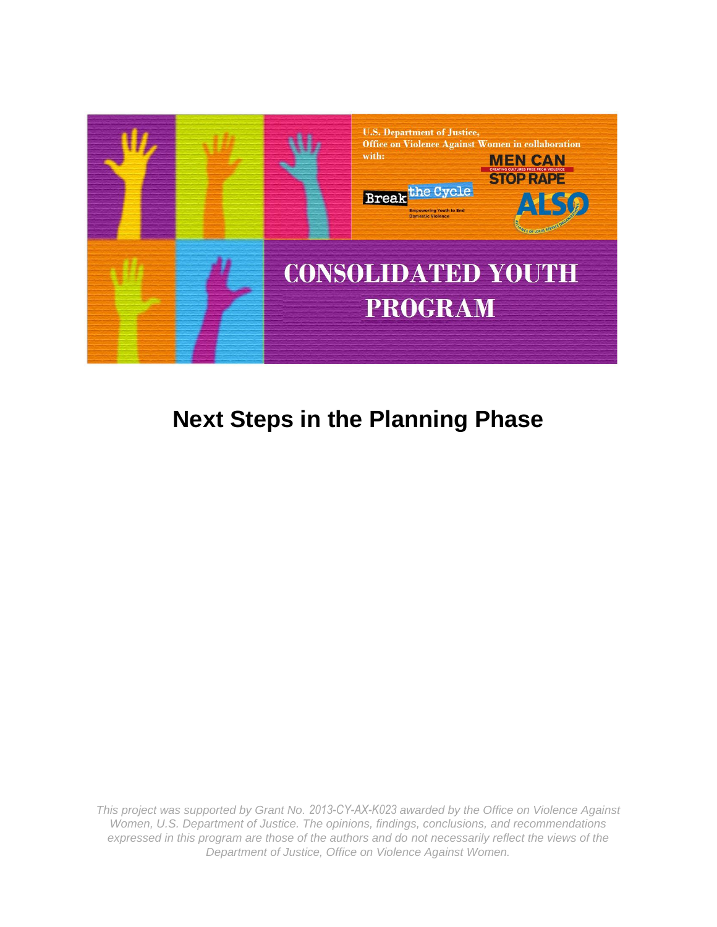

# **Next Steps in the Planning Phase**

*This project was supported by Grant No. 2013-CY-AX-K023 awarded by the Office on Violence Against Women, U.S. Department of Justice. The opinions, findings, conclusions, and recommendations expressed in this program are those of the authors and do not necessarily reflect the views of the Department of Justice, Office on Violence Against Women.*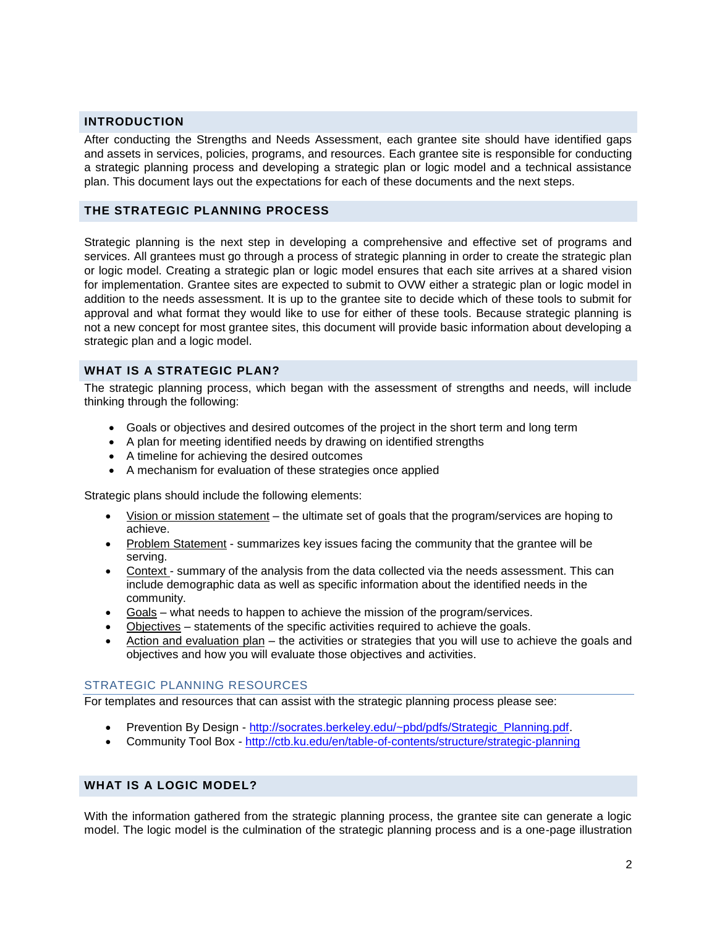#### **INTRODUCTION**

After conducting the Strengths and Needs Assessment, each grantee site should have identified gaps and assets in services, policies, programs, and resources. Each grantee site is responsible for conducting a strategic planning process and developing a strategic plan or logic model and a technical assistance plan. This document lays out the expectations for each of these documents and the next steps.

#### **THE STRATEGIC PLANNING PROCESS**

Strategic planning is the next step in developing a comprehensive and effective set of programs and services. All grantees must go through a process of strategic planning in order to create the strategic plan or logic model. Creating a strategic plan or logic model ensures that each site arrives at a shared vision for implementation. Grantee sites are expected to submit to OVW either a strategic plan or logic model in addition to the needs assessment. It is up to the grantee site to decide which of these tools to submit for approval and what format they would like to use for either of these tools. Because strategic planning is not a new concept for most grantee sites, this document will provide basic information about developing a strategic plan and a logic model.

## **WHAT IS A STRATEGIC PLAN?**

The strategic planning process, which began with the assessment of strengths and needs, will include thinking through the following:

- Goals or objectives and desired outcomes of the project in the short term and long term
- A plan for meeting identified needs by drawing on identified strengths
- A timeline for achieving the desired outcomes
- A mechanism for evaluation of these strategies once applied

Strategic plans should include the following elements:

- Vision or mission statement the ultimate set of goals that the program/services are hoping to achieve.
- Problem Statement summarizes key issues facing the community that the grantee will be serving.
- Context summary of the analysis from the data collected via the needs assessment. This can include demographic data as well as specific information about the identified needs in the community.
- Goals what needs to happen to achieve the mission of the program/services.
- Objectives statements of the specific activities required to achieve the goals.
- Action and evaluation plan the activities or strategies that you will use to achieve the goals and objectives and how you will evaluate those objectives and activities.

## STRATEGIC PLANNING RESOURCES

For templates and resources that can assist with the strategic planning process please see:

- Prevention By Design [http://socrates.berkeley.edu/~pbd/pdfs/Strategic\\_Planning.pdf.](http://socrates.berkeley.edu/~pbd/pdfs/Strategic_Planning.pdf)
- Community Tool Box <http://ctb.ku.edu/en/table-of-contents/structure/strategic-planning>

## **WHAT IS A LOGIC MODEL?**

With the information gathered from the strategic planning process, the grantee site can generate a logic model. The logic model is the culmination of the strategic planning process and is a one-page illustration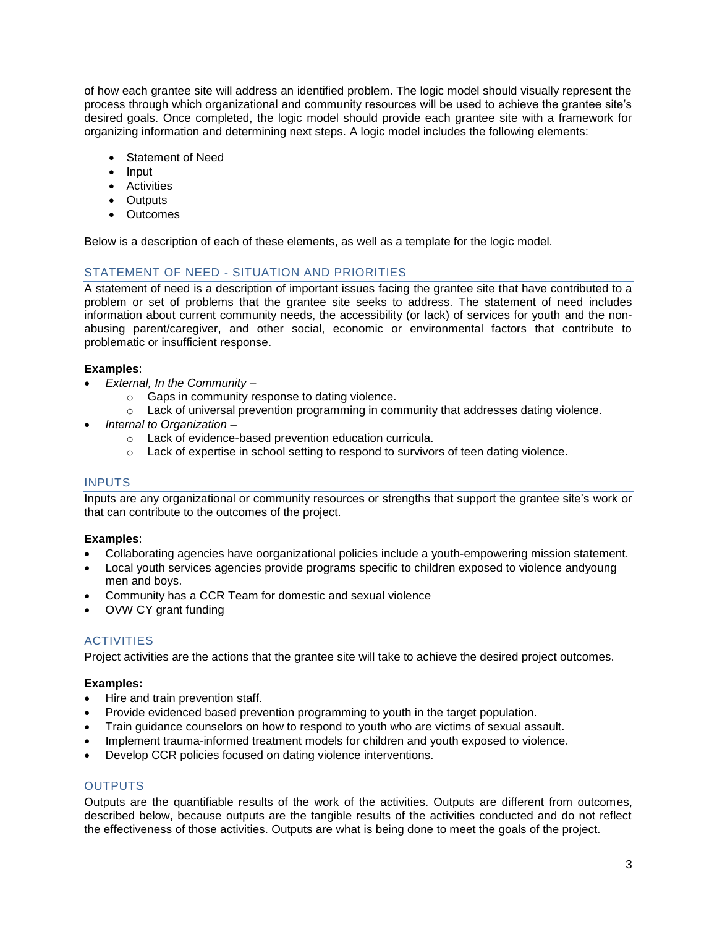of how each grantee site will address an identified problem. The logic model should visually represent the process through which organizational and community resources will be used to achieve the grantee site's desired goals. Once completed, the logic model should provide each grantee site with a framework for organizing information and determining next steps. A logic model includes the following elements:

- Statement of Need
- $\bullet$  Input
- Activities
- Outputs
- Outcomes

Below is a description of each of these elements, as well as a template for the logic model.

## STATEMENT OF NEED - SITUATION AND PRIORITIES

A statement of need is a description of important issues facing the grantee site that have contributed to a problem or set of problems that the grantee site seeks to address. The statement of need includes information about current community needs, the accessibility (or lack) of services for youth and the nonabusing parent/caregiver, and other social, economic or environmental factors that contribute to problematic or insufficient response.

#### **Examples**:

- *External, In the Community* 
	- o Gaps in community response to dating violence.
	- $\circ$  Lack of universal prevention programming in community that addresses dating violence.
- *Internal to Organization* 
	- o Lack of evidence-based prevention education curricula.
	- $\circ$  Lack of expertise in school setting to respond to survivors of teen dating violence.

## INPUTS

Inputs are any organizational or community resources or strengths that support the grantee site's work or that can contribute to the outcomes of the project.

#### **Examples**:

- Collaborating agencies have oorganizational policies include a youth-empowering mission statement.
- Local youth services agencies provide programs specific to children exposed to violence andyoung men and boys.
- Community has a CCR Team for domestic and sexual violence
- OVW CY grant funding

## **ACTIVITIES**

Project activities are the actions that the grantee site will take to achieve the desired project outcomes.

#### **Examples:**

- Hire and train prevention staff.
- Provide evidenced based prevention programming to youth in the target population.
- Train guidance counselors on how to respond to youth who are victims of sexual assault.
- Implement trauma-informed treatment models for children and youth exposed to violence.
- Develop CCR policies focused on dating violence interventions.

## **OUTPUTS**

Outputs are the quantifiable results of the work of the activities. Outputs are different from outcomes, described below, because outputs are the tangible results of the activities conducted and do not reflect the effectiveness of those activities. Outputs are what is being done to meet the goals of the project.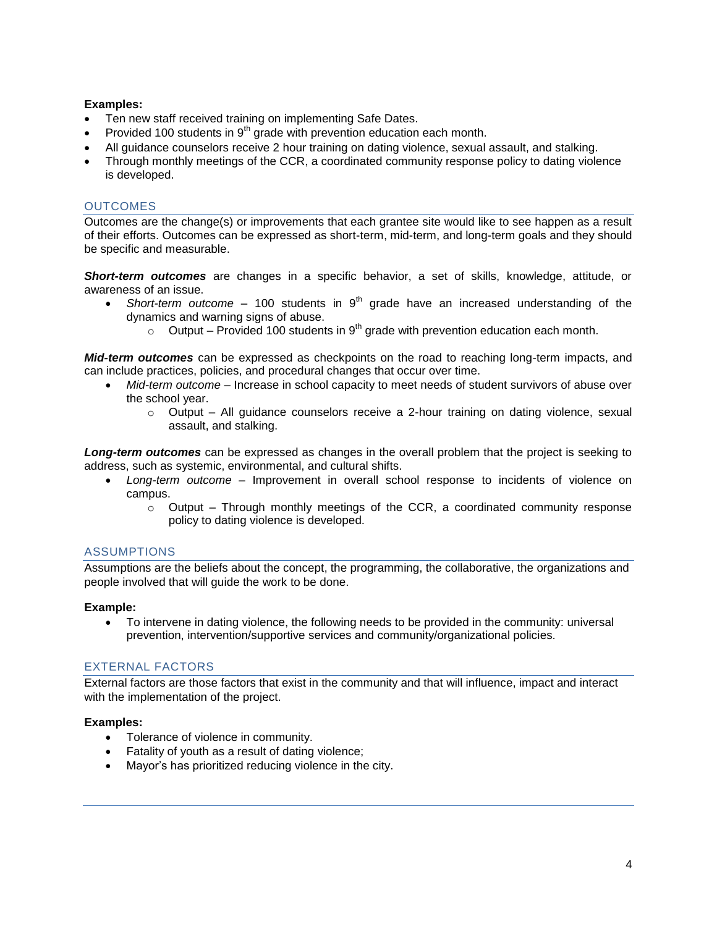#### **Examples:**

- Ten new staff received training on implementing Safe Dates.
- Provided 100 students in 9<sup>th</sup> grade with prevention education each month.
- All guidance counselors receive 2 hour training on dating violence, sexual assault, and stalking.
- Through monthly meetings of the CCR, a coordinated community response policy to dating violence is developed.

#### **OUTCOMES**

Outcomes are the change(s) or improvements that each grantee site would like to see happen as a result of their efforts. Outcomes can be expressed as short-term, mid-term, and long-term goals and they should be specific and measurable.

*Short-term outcomes* are changes in a specific behavior, a set of skills, knowledge, attitude, or awareness of an issue.

- $\bullet$  Short-term outcome 100 students in 9<sup>th</sup> grade have an increased understanding of the dynamics and warning signs of abuse.
	- $\circ$  Output Provided 100 students in 9<sup>th</sup> grade with prevention education each month.

*Mid-term outcomes* can be expressed as checkpoints on the road to reaching long-term impacts, and can include practices, policies, and procedural changes that occur over time.

- *Mid-term outcome*  Increase in school capacity to meet needs of student survivors of abuse over the school year.
	- o Output All guidance counselors receive a 2-hour training on dating violence, sexual assault, and stalking.

*Long-term outcomes* can be expressed as changes in the overall problem that the project is seeking to address, such as systemic, environmental, and cultural shifts.

- *Long-term outcome*  Improvement in overall school response to incidents of violence on campus.
	- $\circ$  Output Through monthly meetings of the CCR, a coordinated community response policy to dating violence is developed.

## ASSUMPTIONS

Assumptions are the beliefs about the concept, the programming, the collaborative, the organizations and people involved that will guide the work to be done.

#### **Example:**

 To intervene in dating violence, the following needs to be provided in the community: universal prevention, intervention/supportive services and community/organizational policies.

## EXTERNAL FACTORS

External factors are those factors that exist in the community and that will influence, impact and interact with the implementation of the project.

#### **Examples:**

- Tolerance of violence in community.
- Fatality of youth as a result of dating violence;
- Mayor's has prioritized reducing violence in the city.